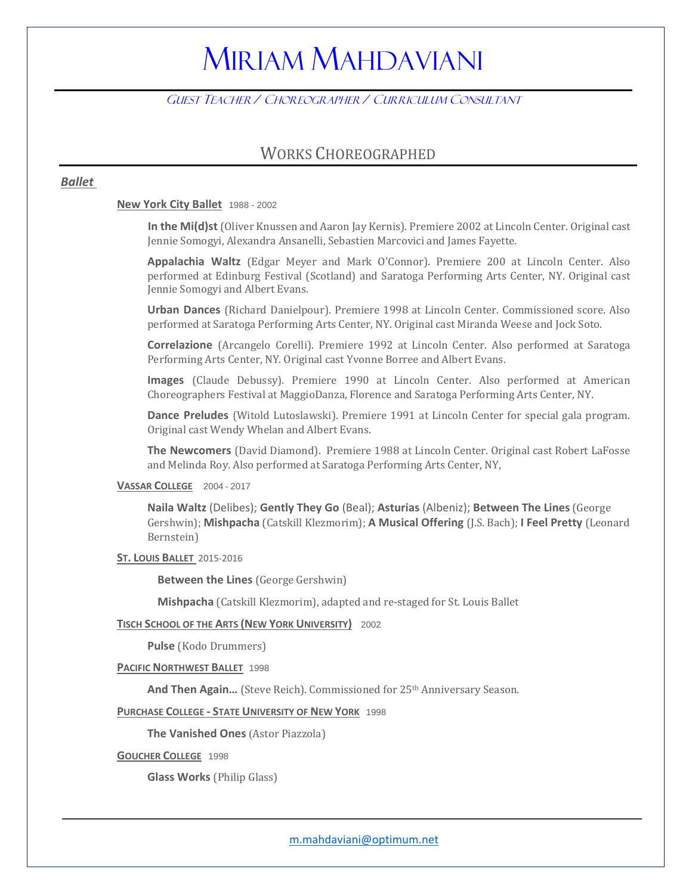# MIRIAM MAHDAVIANI

### GUEST TEACHER / CHOREOGRAPHER / CURRICULUM CONSULTANT

### WORKS CHOREOGRAPHED

#### *Ballet*

#### **New York City Ballet** 1988 - 2002

**In the Mi(d)st** (Oliver Knussen and Aaron Jay Kernis). Premiere 2002 at Lincoln Center. Original cast Jennie Somogyi, Alexandra Ansanelli, Sebastien Marcovici and James Fayette.

**Appalachia Waltz** (Edgar Meyer and Mark O'Connor). Premiere 200 at Lincoln Center. Also performed at Edinburg Festival (Scotland) and Saratoga Performing Arts Center, NY. Original cast Jennie Somogyi and Albert Evans.

**Urban Dances** (Richard Danielpour). Premiere 1998 at Lincoln Center. Commissioned score. Also performed at Saratoga Performing Arts Center, NY. Original cast Miranda Weese and Jock Soto.

**Correlazione** (Arcangelo Corelli). Premiere 1992 at Lincoln Center. Also performed at Saratoga Performing Arts Center, NY. Original cast Yvonne Borree and Albert Evans.

**Images** (Claude Debussy). Premiere 1990 at Lincoln Center. Also performed at American Choreographers Festival at MaggioDanza, Florence and Saratoga Performing Arts Center, NY.

**Dance Preludes** (Witold Lutoslawski). Premiere 1991 at Lincoln Center for special gala program. Original cast Wendy Whelan and Albert Evans.

**The Newcomers** (David Diamond). Premiere 1988 at Lincoln Center. Original cast Robert LaFosse and Melinda Roy. Also performed at Saratoga Performing Arts Center, NY,

#### **VASSAR COLLEGE** 2004 - 2017

**Naila Waltz** (Delibes); **Gently They Go** (Beal); **Asturias** (Albeniz); **Between The Lines** (George Gershwin); **Mishpacha** (Catskill Klezmorim); **A Musical Offering** (J.S. Bach); **I Feel Pretty** (Leonard Bernstein)

#### **ST. LOUIS BALLET** 2015-2016

**Between the Lines** (George Gershwin)

**Mishpacha** (Catskill Klezmorim), adapted and re-staged for St. Louis Ballet

#### **TISCH SCHOOL OF THE ARTS (NEW YORK UNIVERSITY)** 2002

**Pulse** (Kodo Drummers)

**PACIFIC NORTHWEST BALLET** 1998

And Then Again... (Steve Reich). Commissioned for 25<sup>th</sup> Anniversary Season.

#### **PURCHASE COLLEGE - STATE UNIVERSITY OF NEW YORK** 1998

**The Vanished Ones** (Astor Piazzola)

**GOUCHER COLLEGE** 1998

**Glass Works** (Philip Glass)